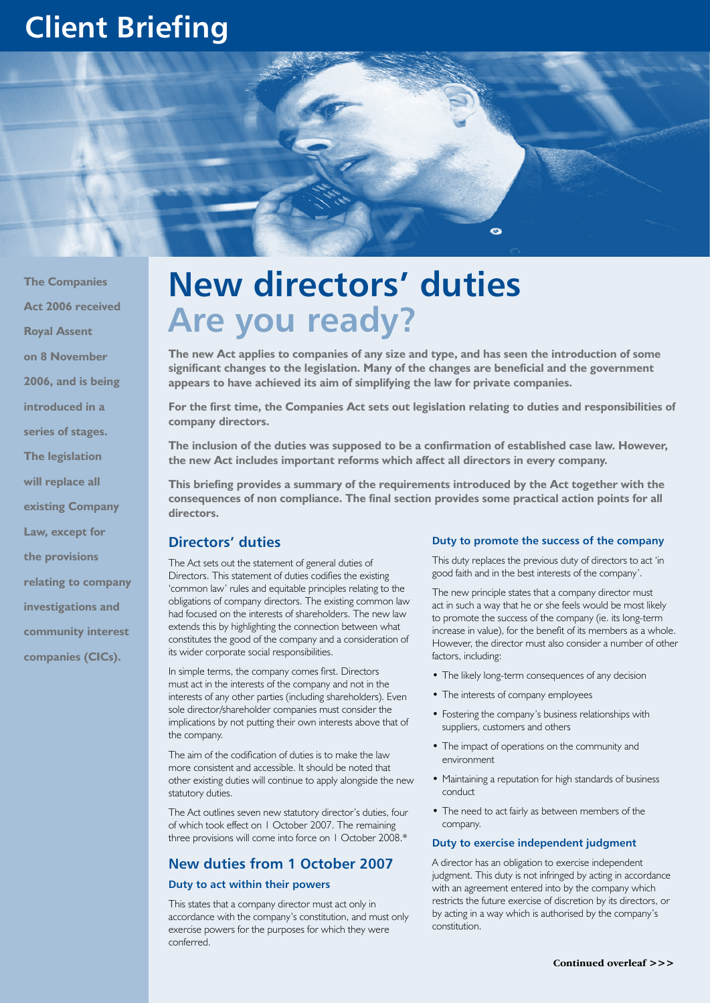# **Client Briefing**



**The Companies Act 2006 received Royal Assent on 8 November 2006, and is being introduced in a series of stages. The legislation will replace all existing Company Law, except for the provisions relating to company investigations and community interest companies (CICs).**

# **New directors' duties Are you ready?**

**The new Act applies to companies of any size and type, and has seen the introduction of some significant changes to the legislation. Many of the changes are beneficial and the government appears to have achieved its aim of simplifying the law for private companies.**

**For the first time, the Companies Act sets out legislation relating to duties and responsibilities of company directors.**

**The inclusion of the duties was supposed to be a confirmation of established case law. However, the new Act includes important reforms which affect all directors in every company.**

**This briefing provides a summary of the requirements introduced by the Act together with the consequences of non compliance. The final section provides some practical action points for all directors.**

#### **Directors' duties**

The Act sets out the statement of general duties of Directors. This statement of duties codifies the existing 'common law' rules and equitable principles relating to the obligations of company directors. The existing common law had focused on the interests of shareholders. The new law extends this by highlighting the connection between what constitutes the good of the company and a consideration of its wider corporate social responsibilities.

In simple terms, the company comes first. Directors must act in the interests of the company and not in the interests of any other parties (including shareholders). Even sole director/shareholder companies must consider the implications by not putting their own interests above that of the company.

The aim of the codification of duties is to make the law more consistent and accessible. It should be noted that other existing duties will continue to apply alongside the new statutory duties.

The Act outlines seven new statutory director's duties, four of which took effect on 1 October 2007. The remaining three provisions will come into force on 1 October 2008.\*

# **New duties from 1 October 2007**

#### **Duty to act within their powers**

This states that a company director must act only in accordance with the company's constitution, and must only exercise powers for the purposes for which they were conferred.

#### **Duty to promote the success of the company**

This duty replaces the previous duty of directors to act 'in good faith and in the best interests of the company'.

The new principle states that a company director must act in such a way that he or she feels would be most likely to promote the success of the company (ie. its long-term increase in value), for the benefit of its members as a whole. However, the director must also consider a number of other factors, including:

- The likely long-term consequences of any decision
- The interests of company employees
- Fostering the company's business relationships with suppliers, customers and others
- The impact of operations on the community and environment
- Maintaining a reputation for high standards of business conduct
- The need to act fairly as between members of the company.

#### **Duty to exercise independent judgment**

A director has an obligation to exercise independent judgment. This duty is not infringed by acting in accordance with an agreement entered into by the company which restricts the future exercise of discretion by its directors, or by acting in a way which is authorised by the company's constitution.